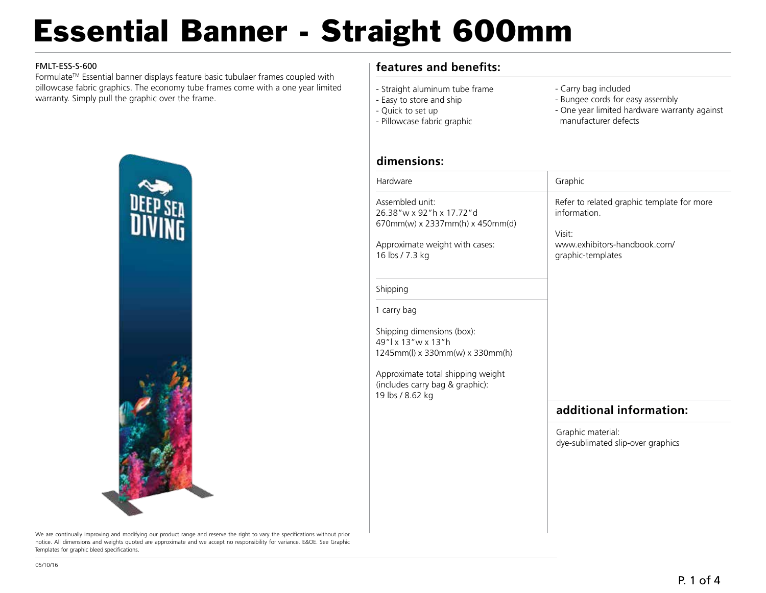# Essential Banner - Straight 600mm

#### FMLT-ESS-S-600

FormulateTM Essential banner displays feature basic tubulaer frames coupled with pillowcase fabric graphics. The economy tube frames come with a one year limited warranty. Simply pull the graphic over the frame.

### **features and benefits:**

- Straight aluminum tube frame
- Easy to store and ship
- Quick to set up
- Pillowcase fabric graphic
- Carry bag included
- Bungee cords for easy assembly
- One year limited hardware warranty against manufacturer defects

#### **dimensions:**

| Assembled unit:<br>26.38"w x 92"h x 17.72"d<br>information.<br>670mm(w) x 2337mm(h) x 450mm(d)<br>Visit:<br>www.exhibitors-handbook.com/<br>Approximate weight with cases:<br>16 lbs / 7.3 kg<br>graphic-templates<br>Shipping<br>1 carry bag<br>Shipping dimensions (box):<br>49"   x 13" w x 13" h<br>1245mm(l) x 330mm(w) x 330mm(h)<br>Approximate total shipping weight<br>(includes carry bag & graphic):<br>19 lbs / 8.62 kg<br>additional information:<br>Graphic material:<br>dye-sublimated slip-over graphics | Graphic                                    |
|--------------------------------------------------------------------------------------------------------------------------------------------------------------------------------------------------------------------------------------------------------------------------------------------------------------------------------------------------------------------------------------------------------------------------------------------------------------------------------------------------------------------------|--------------------------------------------|
|                                                                                                                                                                                                                                                                                                                                                                                                                                                                                                                          | Refer to related graphic template for more |
|                                                                                                                                                                                                                                                                                                                                                                                                                                                                                                                          |                                            |
|                                                                                                                                                                                                                                                                                                                                                                                                                                                                                                                          |                                            |
|                                                                                                                                                                                                                                                                                                                                                                                                                                                                                                                          |                                            |
|                                                                                                                                                                                                                                                                                                                                                                                                                                                                                                                          |                                            |
|                                                                                                                                                                                                                                                                                                                                                                                                                                                                                                                          |                                            |
|                                                                                                                                                                                                                                                                                                                                                                                                                                                                                                                          |                                            |
|                                                                                                                                                                                                                                                                                                                                                                                                                                                                                                                          |                                            |



We are continually improving and modifying our product range and reserve the right to vary the specifications without prior notice. All dimensions and weights quoted are approximate and we accept no responsibility for variance. E&OE. See Graphic Templates for graphic bleed specifications.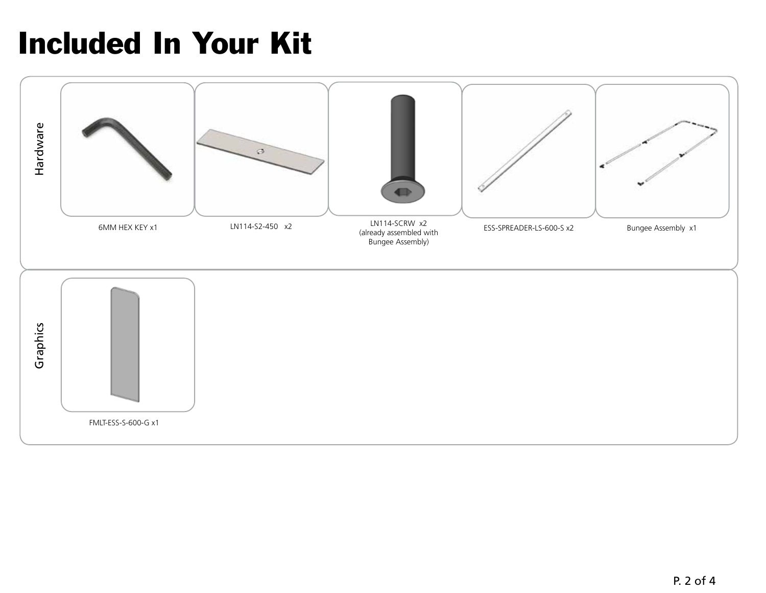### Included In Your Kit

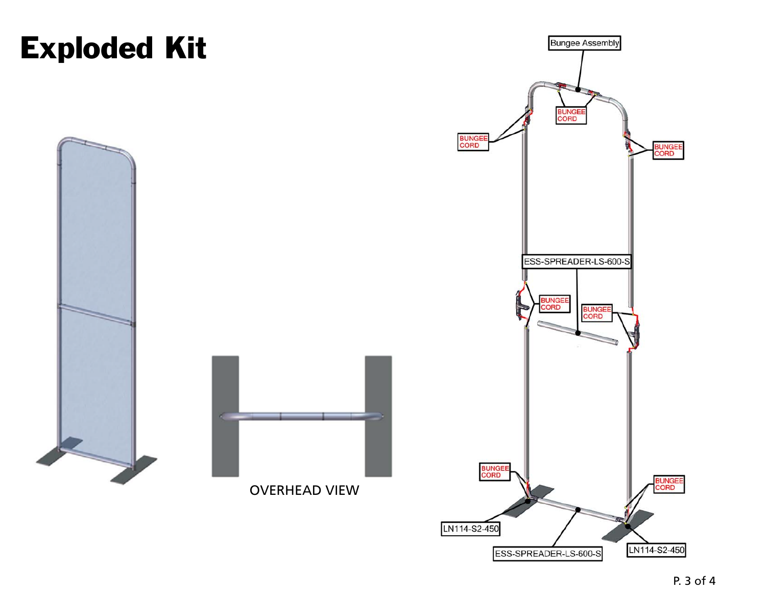